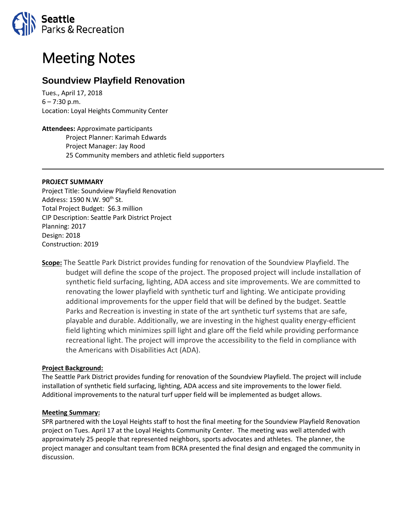

# Meeting Notes

# **Soundview Playfield Renovation**

Tues., April 17, 2018  $6 - 7:30$  p.m. Location: Loyal Heights Community Center

**Attendees:** Approximate participants Project Planner: Karimah Edwards Project Manager: Jay Rood 25 Community members and athletic field supporters

### **PROJECT SUMMARY**

Project Title: Soundview Playfield Renovation Address: 1590 N.W. 90<sup>th</sup> St. Total Project Budget: \$6.3 million CIP Description: Seattle Park District Project Planning: 2017 Design: 2018 Construction: 2019

**Scope:** The Seattle Park District provides funding for renovation of the Soundview Playfield. The budget will define the scope of the project. The proposed project will include installation of synthetic field surfacing, lighting, ADA access and site improvements. We are committed to renovating the lower playfield with synthetic turf and lighting. We anticipate providing additional improvements for the upper field that will be defined by the budget. Seattle Parks and Recreation is investing in state of the art synthetic turf systems that are safe, playable and durable. Additionally, we are investing in the highest quality energy-efficient field lighting which minimizes spill light and glare off the field while providing performance recreational light. The project will improve the accessibility to the field in compliance with the Americans with Disabilities Act (ADA).

## **Project Background:**

The Seattle Park District provides funding for renovation of the Soundview Playfield. The project will include installation of synthetic field surfacing, lighting, ADA access and site improvements to the lower field. Additional improvements to the natural turf upper field will be implemented as budget allows.

#### **Meeting Summary:**

SPR partnered with the Loyal Heights staff to host the final meeting for the Soundview Playfield Renovation project on Tues. April 17 at the Loyal Heights Community Center. The meeting was well attended with approximately 25 people that represented neighbors, sports advocates and athletes. The planner, the project manager and consultant team from BCRA presented the final design and engaged the community in discussion.